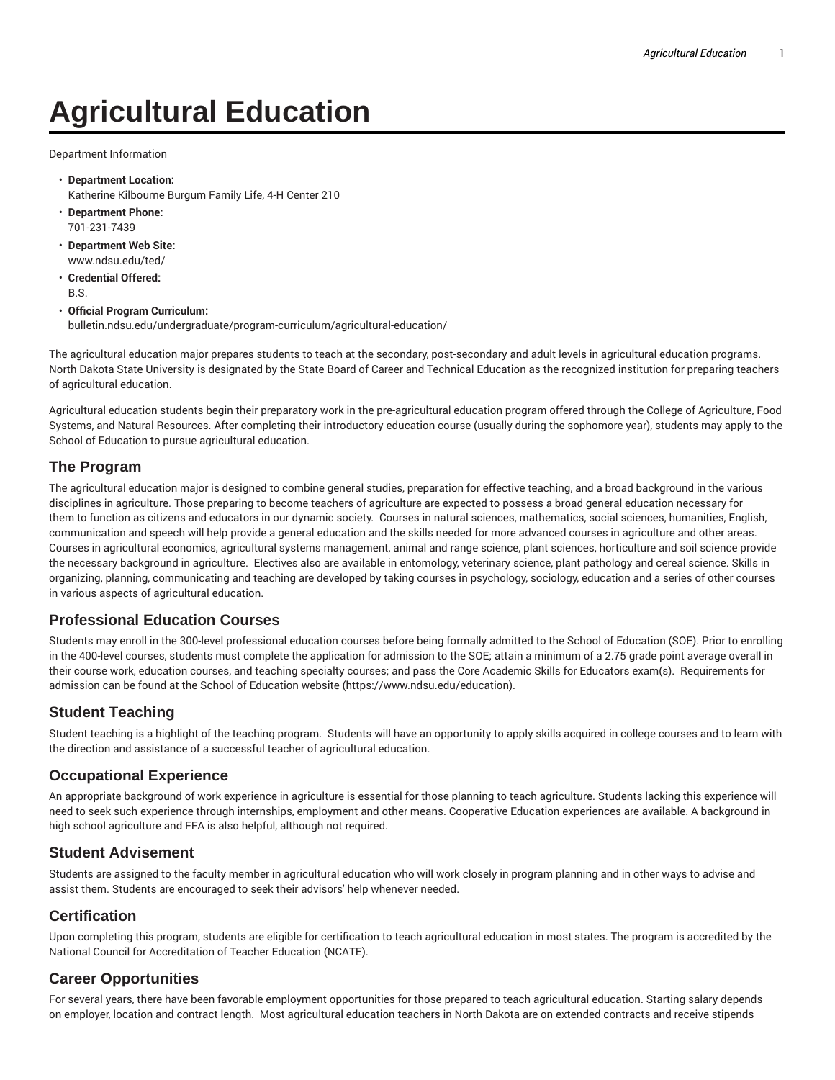# **Agricultural Education**

Department Information

- **Department Location:** Katherine Kilbourne Burgum Family Life, 4-H Center 210
- **Department Phone:** 701-231-7439
- **Department Web Site:** www.ndsu.edu/ted/
- **Credential Offered:** B.S.

#### • **Official Program Curriculum:**

bulletin.ndsu.edu/undergraduate/program-curriculum/agricultural-education/

The agricultural education major prepares students to teach at the secondary, post-secondary and adult levels in agricultural education programs. North Dakota State University is designated by the State Board of Career and Technical Education as the recognized institution for preparing teachers of agricultural education.

Agricultural education students begin their preparatory work in the pre-agricultural education program offered through the College of Agriculture, Food Systems, and Natural Resources. After completing their introductory education course (usually during the sophomore year), students may apply to the School of Education to pursue agricultural education.

### **The Program**

The agricultural education major is designed to combine general studies, preparation for effective teaching, and a broad background in the various disciplines in agriculture. Those preparing to become teachers of agriculture are expected to possess a broad general education necessary for them to function as citizens and educators in our dynamic society. Courses in natural sciences, mathematics, social sciences, humanities, English, communication and speech will help provide a general education and the skills needed for more advanced courses in agriculture and other areas. Courses in agricultural economics, agricultural systems management, animal and range science, plant sciences, horticulture and soil science provide the necessary background in agriculture. Electives also are available in entomology, veterinary science, plant pathology and cereal science. Skills in organizing, planning, communicating and teaching are developed by taking courses in psychology, sociology, education and a series of other courses in various aspects of agricultural education.

### **Professional Education Courses**

Students may enroll in the 300-level professional education courses before being formally admitted to the School of Education (SOE). Prior to enrolling in the 400-level courses, students must complete the application for admission to the SOE; attain a minimum of a 2.75 grade point average overall in their course work, education courses, and teaching specialty courses; and pass the Core Academic Skills for Educators exam(s). Requirements for admission can be found at the School of Education website (https://www.ndsu.edu/education).

## **Student Teaching**

Student teaching is a highlight of the teaching program. Students will have an opportunity to apply skills acquired in college courses and to learn with the direction and assistance of a successful teacher of agricultural education.

### **Occupational Experience**

An appropriate background of work experience in agriculture is essential for those planning to teach agriculture. Students lacking this experience will need to seek such experience through internships, employment and other means. Cooperative Education experiences are available. A background in high school agriculture and FFA is also helpful, although not required.

### **Student Advisement**

Students are assigned to the faculty member in agricultural education who will work closely in program planning and in other ways to advise and assist them. Students are encouraged to seek their advisors' help whenever needed.

### **Certification**

Upon completing this program, students are eligible for certification to teach agricultural education in most states. The program is accredited by the National Council for Accreditation of Teacher Education (NCATE).

## **Career Opportunities**

For several years, there have been favorable employment opportunities for those prepared to teach agricultural education. Starting salary depends on employer, location and contract length. Most agricultural education teachers in North Dakota are on extended contracts and receive stipends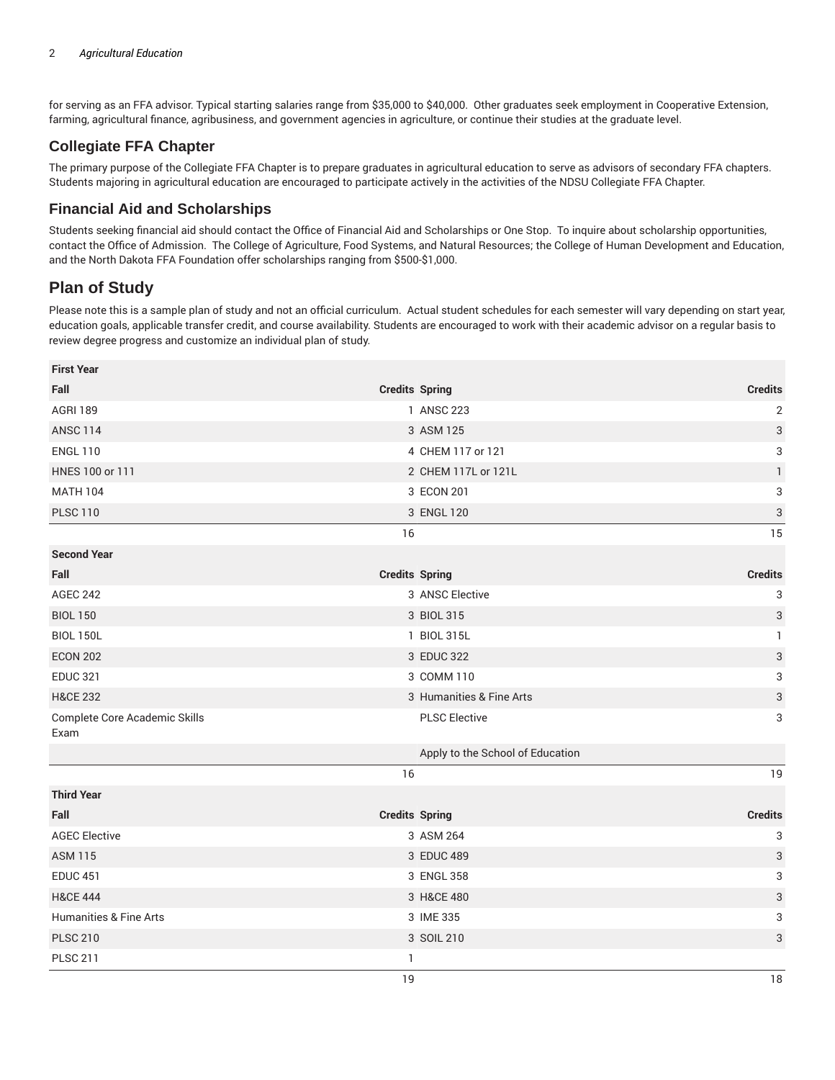for serving as an FFA advisor. Typical starting salaries range from \$35,000 to \$40,000. Other graduates seek employment in Cooperative Extension, farming, agricultural finance, agribusiness, and government agencies in agriculture, or continue their studies at the graduate level.

## **Collegiate FFA Chapter**

The primary purpose of the Collegiate FFA Chapter is to prepare graduates in agricultural education to serve as advisors of secondary FFA chapters. Students majoring in agricultural education are encouraged to participate actively in the activities of the NDSU Collegiate FFA Chapter.

## **Financial Aid and Scholarships**

Students seeking financial aid should contact the Office of Financial Aid and Scholarships or One Stop. To inquire about scholarship opportunities, contact the Office of Admission. The College of Agriculture, Food Systems, and Natural Resources; the College of Human Development and Education, and the North Dakota FFA Foundation offer scholarships ranging from \$500-\$1,000.

## **Plan of Study**

Please note this is a sample plan of study and not an official curriculum. Actual student schedules for each semester will vary depending on start year, education goals, applicable transfer credit, and course availability. Students are encouraged to work with their academic advisor on a regular basis to review degree progress and customize an individual plan of study.

| <b>First Year</b>                            |                                  |                           |
|----------------------------------------------|----------------------------------|---------------------------|
| Fall                                         | <b>Credits Spring</b>            | <b>Credits</b>            |
| <b>AGRI 189</b>                              | 1 ANSC 223                       | $\sqrt{2}$                |
| <b>ANSC 114</b>                              | 3 ASM 125                        | $\ensuremath{\mathsf{3}}$ |
| <b>ENGL 110</b>                              | 4 CHEM 117 or 121                | 3                         |
| HNES 100 or 111                              | 2 CHEM 117L or 121L              | $\mathbf{1}$              |
| <b>MATH 104</b>                              | 3 ECON 201                       | 3                         |
| <b>PLSC 110</b>                              | 3 ENGL 120                       | $\mathsf{3}$              |
|                                              | 16                               | 15                        |
| <b>Second Year</b>                           |                                  |                           |
| Fall                                         | <b>Credits Spring</b>            | <b>Credits</b>            |
| <b>AGEC 242</b>                              | 3 ANSC Elective                  | 3                         |
| <b>BIOL 150</b>                              | 3 BIOL 315                       | $\ensuremath{\mathsf{3}}$ |
| <b>BIOL 150L</b>                             | 1 BIOL 315L                      | $\mathbf{1}$              |
| <b>ECON 202</b>                              | 3 EDUC 322                       | $\ensuremath{\mathsf{3}}$ |
| <b>EDUC 321</b>                              | 3 COMM 110                       | 3                         |
| <b>H&amp;CE 232</b>                          | 3 Humanities & Fine Arts         | $\ensuremath{\mathsf{3}}$ |
| <b>Complete Core Academic Skills</b><br>Exam | <b>PLSC Elective</b>             | 3                         |
|                                              | Apply to the School of Education |                           |
|                                              | 16                               | 19                        |
| <b>Third Year</b>                            |                                  |                           |
| Fall                                         | <b>Credits Spring</b>            | <b>Credits</b>            |
| <b>AGEC Elective</b>                         | 3 ASM 264                        | 3                         |
| <b>ASM 115</b>                               | 3 EDUC 489                       | $\ensuremath{\mathsf{3}}$ |
| <b>EDUC 451</b>                              | 3 ENGL 358                       | 3                         |
| <b>H&amp;CE 444</b>                          | 3 H&CE 480                       | $\ensuremath{\mathsf{3}}$ |
| <b>Humanities &amp; Fine Arts</b>            | 3 IME 335                        | 3                         |
| <b>PLSC 210</b>                              | 3 SOIL 210                       | $\ensuremath{\mathsf{3}}$ |
| <b>PLSC 211</b>                              | $\mathbf{1}$                     |                           |
|                                              | 19                               | 18                        |